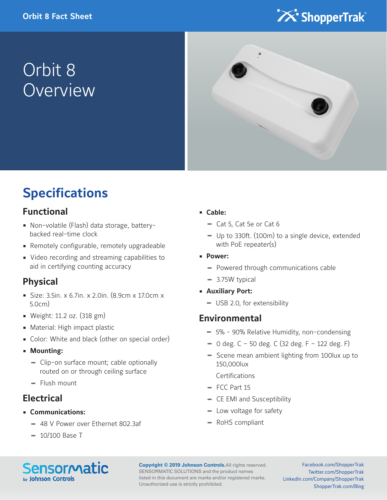

# Orbit 8 **Overview**



### **Specifications**

### **Functional**

- Non-volatile (Flash) data storage, batterybacked real-time clock
- Remotely configurable, remotely upgradeable
- Video recording and streaming capabilities to aid in certifying counting accuracy

### **Physical**

- Size: 3.5in. x 6.7in. x 2.0in. (8.9cm x 17.0cm x 5.0cm)
- Weight: 11.2 oz. (318 gm)
- Material: High impact plastic
- Color: White and black (other on special order)
- **Mounting:**
	- **-** Clip-on surface mount; cable optionally routed on or through ceiling surface
	- **-** Flush mount

### **Electrical**

- **Communications:**
	- **-** 48 V Power over Ethernet 802.3af
	- **-** 10/100 Base T

#### **• Cable:**

- **-** Cat 5, Cat 5e or Cat 6
- **-** Up to 330ft. (100m) to a single device, extended with PoE repeater(s)
- **Power:**
	- **-** Powered through communications cable
	- **-** 3.75W typical
- **Auxiliary Port:**
	- **-** USB 2.0, for extensibility

### **Environmental**

- **-** 5% 90% Relative Humidity, non-condensing
- **-** 0 deg. C 50 deg. C (32 deg. F 122 deg. F)
- **-** Scene mean ambient lighting from 100lux up to 150,000lux

Certifications

- **-** FCC Part 15
- **-** CE EMI and Susceptibility
- **-** Low voltage for safety
- **-** RoHS compliant

**Sensormatic** by Johnson Controls

**Copyright © 2019 Johnson Controls.**All rights reserved. SENSORMATIC SOLUTIONS and the product names listed in this document are marks and/or registered marks. Unauthorized use is strictly prohibited.

Facebook.com/ShopperTrak Twitter.com/ShopperTrak LinkedIn.com/Company/ShopperTrak ShopperTrak.com/Blog